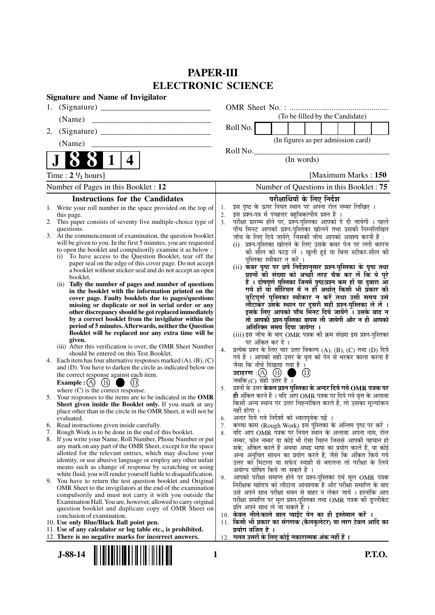## **PAPER-III ELECTRONIC SCIENCE**

|                                                    | <b>Signature and Name of Invigilator</b>                                                                                                                                                                                                                                                                                                                                                                                                                                                                                                                                                                                                                                                                                                                                                                                                                                                                                                                                                                                                                                                                                                                                                                                                                                                                                                                                                                                                                                                                                                                                                                                                                                                                                                                                                                                                                                                                                                                                                                                                                                                                                                                                                                                                                                                                                                                                                                                                  |                                                                |                                                                                                                                                                                                                                                                                                                                                                                                                                                                                                                                                                                                                                                                                                                                                                                                                                                                                                                                                                                                                                                                                                                                                                                                                                                                                                                                                                                                                                                                                                                                                                                                                                                                                                                                                                                                              |                                                                              |                |                                                                                                                                                                                                                                                                                                                                                                                                                                                                                                                                   |  |               |
|----------------------------------------------------|-------------------------------------------------------------------------------------------------------------------------------------------------------------------------------------------------------------------------------------------------------------------------------------------------------------------------------------------------------------------------------------------------------------------------------------------------------------------------------------------------------------------------------------------------------------------------------------------------------------------------------------------------------------------------------------------------------------------------------------------------------------------------------------------------------------------------------------------------------------------------------------------------------------------------------------------------------------------------------------------------------------------------------------------------------------------------------------------------------------------------------------------------------------------------------------------------------------------------------------------------------------------------------------------------------------------------------------------------------------------------------------------------------------------------------------------------------------------------------------------------------------------------------------------------------------------------------------------------------------------------------------------------------------------------------------------------------------------------------------------------------------------------------------------------------------------------------------------------------------------------------------------------------------------------------------------------------------------------------------------------------------------------------------------------------------------------------------------------------------------------------------------------------------------------------------------------------------------------------------------------------------------------------------------------------------------------------------------------------------------------------------------------------------------------------------------|----------------------------------------------------------------|--------------------------------------------------------------------------------------------------------------------------------------------------------------------------------------------------------------------------------------------------------------------------------------------------------------------------------------------------------------------------------------------------------------------------------------------------------------------------------------------------------------------------------------------------------------------------------------------------------------------------------------------------------------------------------------------------------------------------------------------------------------------------------------------------------------------------------------------------------------------------------------------------------------------------------------------------------------------------------------------------------------------------------------------------------------------------------------------------------------------------------------------------------------------------------------------------------------------------------------------------------------------------------------------------------------------------------------------------------------------------------------------------------------------------------------------------------------------------------------------------------------------------------------------------------------------------------------------------------------------------------------------------------------------------------------------------------------------------------------------------------------------------------------------------------------|------------------------------------------------------------------------------|----------------|-----------------------------------------------------------------------------------------------------------------------------------------------------------------------------------------------------------------------------------------------------------------------------------------------------------------------------------------------------------------------------------------------------------------------------------------------------------------------------------------------------------------------------------|--|---------------|
| 1.                                                 |                                                                                                                                                                                                                                                                                                                                                                                                                                                                                                                                                                                                                                                                                                                                                                                                                                                                                                                                                                                                                                                                                                                                                                                                                                                                                                                                                                                                                                                                                                                                                                                                                                                                                                                                                                                                                                                                                                                                                                                                                                                                                                                                                                                                                                                                                                                                                                                                                                           |                                                                |                                                                                                                                                                                                                                                                                                                                                                                                                                                                                                                                                                                                                                                                                                                                                                                                                                                                                                                                                                                                                                                                                                                                                                                                                                                                                                                                                                                                                                                                                                                                                                                                                                                                                                                                                                                                              |                                                                              |                |                                                                                                                                                                                                                                                                                                                                                                                                                                                                                                                                   |  |               |
| (Name)                                             |                                                                                                                                                                                                                                                                                                                                                                                                                                                                                                                                                                                                                                                                                                                                                                                                                                                                                                                                                                                                                                                                                                                                                                                                                                                                                                                                                                                                                                                                                                                                                                                                                                                                                                                                                                                                                                                                                                                                                                                                                                                                                                                                                                                                                                                                                                                                                                                                                                           |                                                                |                                                                                                                                                                                                                                                                                                                                                                                                                                                                                                                                                                                                                                                                                                                                                                                                                                                                                                                                                                                                                                                                                                                                                                                                                                                                                                                                                                                                                                                                                                                                                                                                                                                                                                                                                                                                              |                                                                              |                | (To be filled by the Candidate)                                                                                                                                                                                                                                                                                                                                                                                                                                                                                                   |  |               |
| 2.                                                 |                                                                                                                                                                                                                                                                                                                                                                                                                                                                                                                                                                                                                                                                                                                                                                                                                                                                                                                                                                                                                                                                                                                                                                                                                                                                                                                                                                                                                                                                                                                                                                                                                                                                                                                                                                                                                                                                                                                                                                                                                                                                                                                                                                                                                                                                                                                                                                                                                                           |                                                                | Roll No.                                                                                                                                                                                                                                                                                                                                                                                                                                                                                                                                                                                                                                                                                                                                                                                                                                                                                                                                                                                                                                                                                                                                                                                                                                                                                                                                                                                                                                                                                                                                                                                                                                                                                                                                                                                                     |                                                                              |                |                                                                                                                                                                                                                                                                                                                                                                                                                                                                                                                                   |  |               |
| (Name)                                             |                                                                                                                                                                                                                                                                                                                                                                                                                                                                                                                                                                                                                                                                                                                                                                                                                                                                                                                                                                                                                                                                                                                                                                                                                                                                                                                                                                                                                                                                                                                                                                                                                                                                                                                                                                                                                                                                                                                                                                                                                                                                                                                                                                                                                                                                                                                                                                                                                                           |                                                                |                                                                                                                                                                                                                                                                                                                                                                                                                                                                                                                                                                                                                                                                                                                                                                                                                                                                                                                                                                                                                                                                                                                                                                                                                                                                                                                                                                                                                                                                                                                                                                                                                                                                                                                                                                                                              |                                                                              |                | (In figures as per admission card)                                                                                                                                                                                                                                                                                                                                                                                                                                                                                                |  |               |
|                                                    | 4                                                                                                                                                                                                                                                                                                                                                                                                                                                                                                                                                                                                                                                                                                                                                                                                                                                                                                                                                                                                                                                                                                                                                                                                                                                                                                                                                                                                                                                                                                                                                                                                                                                                                                                                                                                                                                                                                                                                                                                                                                                                                                                                                                                                                                                                                                                                                                                                                                         |                                                                | Roll No.                                                                                                                                                                                                                                                                                                                                                                                                                                                                                                                                                                                                                                                                                                                                                                                                                                                                                                                                                                                                                                                                                                                                                                                                                                                                                                                                                                                                                                                                                                                                                                                                                                                                                                                                                                                                     |                                                                              | (In words)     |                                                                                                                                                                                                                                                                                                                                                                                                                                                                                                                                   |  |               |
| Time : $2 \frac{1}{2}$ hours]                      |                                                                                                                                                                                                                                                                                                                                                                                                                                                                                                                                                                                                                                                                                                                                                                                                                                                                                                                                                                                                                                                                                                                                                                                                                                                                                                                                                                                                                                                                                                                                                                                                                                                                                                                                                                                                                                                                                                                                                                                                                                                                                                                                                                                                                                                                                                                                                                                                                                           |                                                                |                                                                                                                                                                                                                                                                                                                                                                                                                                                                                                                                                                                                                                                                                                                                                                                                                                                                                                                                                                                                                                                                                                                                                                                                                                                                                                                                                                                                                                                                                                                                                                                                                                                                                                                                                                                                              |                                                                              |                | [Maximum Marks: 150]                                                                                                                                                                                                                                                                                                                                                                                                                                                                                                              |  |               |
|                                                    | Number of Pages in this Booklet : 12                                                                                                                                                                                                                                                                                                                                                                                                                                                                                                                                                                                                                                                                                                                                                                                                                                                                                                                                                                                                                                                                                                                                                                                                                                                                                                                                                                                                                                                                                                                                                                                                                                                                                                                                                                                                                                                                                                                                                                                                                                                                                                                                                                                                                                                                                                                                                                                                      |                                                                |                                                                                                                                                                                                                                                                                                                                                                                                                                                                                                                                                                                                                                                                                                                                                                                                                                                                                                                                                                                                                                                                                                                                                                                                                                                                                                                                                                                                                                                                                                                                                                                                                                                                                                                                                                                                              |                                                                              |                | Number of Questions in this Booklet: 75                                                                                                                                                                                                                                                                                                                                                                                                                                                                                           |  |               |
|                                                    | <b>Instructions for the Candidates</b>                                                                                                                                                                                                                                                                                                                                                                                                                                                                                                                                                                                                                                                                                                                                                                                                                                                                                                                                                                                                                                                                                                                                                                                                                                                                                                                                                                                                                                                                                                                                                                                                                                                                                                                                                                                                                                                                                                                                                                                                                                                                                                                                                                                                                                                                                                                                                                                                    |                                                                |                                                                                                                                                                                                                                                                                                                                                                                                                                                                                                                                                                                                                                                                                                                                                                                                                                                                                                                                                                                                                                                                                                                                                                                                                                                                                                                                                                                                                                                                                                                                                                                                                                                                                                                                                                                                              |                                                                              |                | परीक्षार्थियों के लिए निर्देश                                                                                                                                                                                                                                                                                                                                                                                                                                                                                                     |  |               |
| this page.<br>questions.<br>evaluated.<br>7.<br>9. | 1. Write your roll number in the space provided on the top of<br>2. This paper consists of seventy five multiple-choice type of<br>3. At the commencement of examination, the question booklet<br>will be given to you. In the first 5 minutes, you are requested<br>to open the booklet and compulsorily examine it as below :<br>(i) To have access to the Question Booklet, tear off the<br>paper seal on the edge of this cover page. Do not accept<br>a booklet without sticker-seal and do not accept an open<br>booklet.<br>(ii) Tally the number of pages and number of questions<br>in the booklet with the information printed on the<br>cover page. Faulty booklets due to pages/questions<br>missing or duplicate or not in serial order or any<br>other discrepancy should be got replaced immediately<br>by a correct booklet from the invigilator within the<br>period of 5 minutes. Afterwards, neither the Question<br>Booklet will be replaced nor any extra time will be<br>given.<br>(iii) After this verification is over, the OMR Sheet Number<br>should be entered on this Test Booklet.<br>4. Each item has four alternative responses marked $(A)$ , $(B)$ , $(C)$<br>and (D). You have to darken the circle as indicated below on<br>the correct response against each item.<br>$\circled{B}$<br>(D)<br>Example : $(A)$<br>where $(C)$ is the correct response.<br>5. Your responses to the items are to be indicated in the OMR<br>Sheet given inside the Booklet only. If you mark at any<br>place other than in the circle in the OMR Sheet, it will not be<br>6. Read instructions given inside carefully.<br>Rough Work is to be done in the end of this booklet.<br>8. If you write your Name, Roll Number, Phone Number or put<br>any mark on any part of the OMR Sheet, except for the space<br>allotted for the relevant entries, which may disclose your<br>identity, or use abusive language or employ any other unfair<br>means such as change of response by scratching or using<br>white fluid, you will render yourself liable to disqualification.<br>You have to return the test question booklet and Original<br>OMR Sheet to the invigilators at the end of the examination<br>compulsorily and must not carry it with you outside the<br>Examination Hall. You are, however, allowed to carry original<br>question booklet and duplicate copy of OMR Sheet on<br>conclusion of examination. | 1.<br>2.<br>3 <sub>1</sub><br>4.<br>5.<br>6.<br>7.<br>8.<br>9. | इस पृष्ठ के ऊपर नियत स्थान पर अपना रोल नम्बर लिखिए ।<br>इस प्रश्न-पत्र में पचहत्तर बहुविकल्पीय प्रश्न हैं ।<br>परीक्षा प्रारम्भ होने पर, प्रश्न-पुस्तिका आपको दे दी जायेगी । पहले<br>पाँच मिनट आपको प्रश्न-पुस्तिका खोलने तथा उसकी निम्नलिखित<br>जाँच के लिए दिये जायेंगे, जिसकी जाँच आपको अवश्य करनी है :<br>(i)<br>(ii) कवर पृष्ठ पर छपे निर्देशानुसार प्रश्न-पुस्तिका के पृष्ठ तथा<br>(iii) इस जाँच के बाद OMR पत्रक की क्रम संख्या इस प्रश्न-पुस्तिका<br>प्रत्येक प्रश्न के लिए चार उत्तर विकल्प (A), (B), (C) तथा (D) दिये<br>गये हैं । आपको सही उत्तर के वृत्त को पेन से भरकर काला करना है<br>जैसा कि नीचे दिखाया गया है ।<br>जबकि $(C)$ सही उत्तर है ।<br>प्रश्नों के उत्तर <b>केवल प्रश्न पुस्तिका के अन्दर दिये गये OMR पत्रक पर</b><br>ही अंकित करने हैं । यदि ऑप OMR पत्रक पर दिये गये वृत्त के अलावा<br>किसी अन्य स्थान पर उत्तर चिह्नांकित करते हैं, तो उसका मूल्यांकन<br>नहीं होगा ।<br>अन्दर दिये गये निर्देशों को ध्यानपूर्वक पढ़ें ।<br>कच्चा काम (Rough Work) इस पुस्तिका के अन्तिम पृष्ठ पर करें ।<br>यदि आप OMR पत्रक पर नियत स्थान के अलावा अपना नाम, रोल<br>नम्बर, फोन नम्बर या कोई भी ऐसा चिह्न जिससे आपकी पहचान हो<br>सके, अंकित करते हैं अथवा अभद्र भाषा का प्रयोग करते हैं, या कोई<br>अन्य अनुचित साधन का प्रयोग करते हैं, जैसे कि अंकित किये गये<br>उत्तर को मिटाना या सफेद स्याही से बदलना तो परीक्षा के लिये<br>अयोग्य घोषित किये जा सकते हैं ।<br>आपको परीक्षा समाप्त होने पर प्रश्न-पुस्तिका एवं मूल OMR पत्रक<br>निरीक्षक महोदय को लौटाना आवश्यक है और परीक्षा समाप्ति के बाद<br>उसे अपने साथ परीक्षा भवन से बाहर न लेकर जायें । हालांकि आप<br>परीक्षा समाप्ति पर मूल प्रश्न-पुस्तिका तथा OMR पत्रक की डुप्लीकेट<br>प्रति अपने साथ ले जा सकते हैं ।<br>10. केवल नीले/काले बाल प्वाईट पेन का ही इस्तेमाल करें ।<br>11. किसी भी प्रकार का संगणक (कैलकुलेटर) या लाग टेबल आदि का | पुस्तिका स्वीकार न करें ।<br>अतिरिक्त समय दिया जायेगा ।<br>पर अंकित कर दें । | $^{\circledR}$ | प्रश्न-पुस्तिका खोलने के लिए उसके कवर पेज पर लगी कागज<br>की सील को फाड़ लें । खुली हुई या बिना स्टीकर-सील की<br>प्रश्नों की संख्या को अच्छी तरह चैक कर लें कि ये पूरे<br>हैं । दोषपूर्ण पुस्तिका जि़नमें पृष्ठ/प्रश्न कूम हों या दुबारा आू<br>गये हों या सौरियल में न हों अर्थात् किसी भी प्रकार की<br>त्रुटिपूर्ण पुस्तिका स्वीकार न करें तथा उसी समय उसे<br>लौटाकर उसके स्थान पर दूसरी सही प्रश्न-पुस्तिका ले लें ।<br>इसके लिए आपको पाँच मिनट दिये जायेंगे । उसके बाद न<br>तो आपकी प्रश्न-पुस्तिका वापस ली जायेगी और न ही आपको |  |               |
|                                                    | 10. Use only Blue/Black Ball point pen.<br>11. Use of any calculator or log table etc., is prohibited.                                                                                                                                                                                                                                                                                                                                                                                                                                                                                                                                                                                                                                                                                                                                                                                                                                                                                                                                                                                                                                                                                                                                                                                                                                                                                                                                                                                                                                                                                                                                                                                                                                                                                                                                                                                                                                                                                                                                                                                                                                                                                                                                                                                                                                                                                                                                    |                                                                | प्रयोग वर्जित है ।                                                                                                                                                                                                                                                                                                                                                                                                                                                                                                                                                                                                                                                                                                                                                                                                                                                                                                                                                                                                                                                                                                                                                                                                                                                                                                                                                                                                                                                                                                                                                                                                                                                                                                                                                                                           |                                                                              |                |                                                                                                                                                                                                                                                                                                                                                                                                                                                                                                                                   |  |               |
|                                                    | 12. There is no negative marks for incorrect answers.                                                                                                                                                                                                                                                                                                                                                                                                                                                                                                                                                                                                                                                                                                                                                                                                                                                                                                                                                                                                                                                                                                                                                                                                                                                                                                                                                                                                                                                                                                                                                                                                                                                                                                                                                                                                                                                                                                                                                                                                                                                                                                                                                                                                                                                                                                                                                                                     |                                                                | 12.  गलत उत्तरों के लिए कोई नकारात्मक अंक नहीं हैं ।                                                                                                                                                                                                                                                                                                                                                                                                                                                                                                                                                                                                                                                                                                                                                                                                                                                                                                                                                                                                                                                                                                                                                                                                                                                                                                                                                                                                                                                                                                                                                                                                                                                                                                                                                         |                                                                              |                |                                                                                                                                                                                                                                                                                                                                                                                                                                                                                                                                   |  |               |
| $J-88-14$                                          |                                                                                                                                                                                                                                                                                                                                                                                                                                                                                                                                                                                                                                                                                                                                                                                                                                                                                                                                                                                                                                                                                                                                                                                                                                                                                                                                                                                                                                                                                                                                                                                                                                                                                                                                                                                                                                                                                                                                                                                                                                                                                                                                                                                                                                                                                                                                                                                                                                           | 1                                                              |                                                                                                                                                                                                                                                                                                                                                                                                                                                                                                                                                                                                                                                                                                                                                                                                                                                                                                                                                                                                                                                                                                                                                                                                                                                                                                                                                                                                                                                                                                                                                                                                                                                                                                                                                                                                              |                                                                              |                |                                                                                                                                                                                                                                                                                                                                                                                                                                                                                                                                   |  | <b>P.T.O.</b> |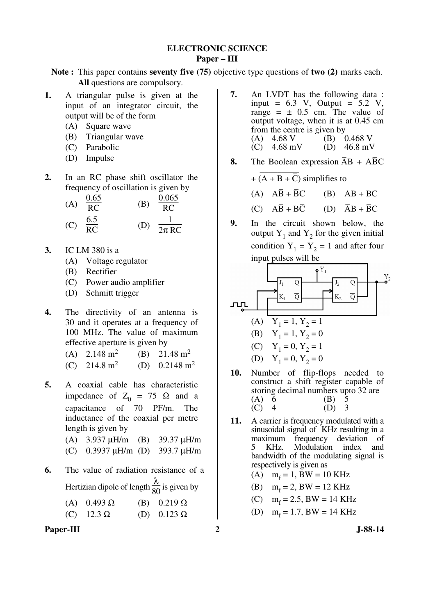#### **ELECTRONIC SCIENCE Paper – III**

**Note :** This paper contains **seventy five (75)** objective type questions of **two (2)** marks each. **All** questions are compulsory.

- **1.** A triangular pulse is given at the input of an integrator circuit, the output will be of the form
	- (A) Square wave
	- (B) Triangular wave
	- (C) Parabolic
	- (D) Impulse
- **2.** In an RC phase shift oscillator the frequency of oscillation is given by

(A) 
$$
\frac{0.65}{RC}
$$
 (B)  $\frac{0.065}{RC}$   
(C)  $\frac{6.5}{RC}$  (D)  $\frac{1}{2\pi RC}$ 

- **3.** IC LM 380 is a
	- (A) Voltage regulator
	- (B) Rectifier
	- (C) Power audio amplifier
	- (D) Schmitt trigger
- **4.** The directivity of an antenna is 30 and it operates at a frequency of 100 MHz. The value of maximum effective aperture is given by
	- $(A)$  2.148 m<sup>2</sup> (B)  $21.48 \text{ m}^2$  $(C)$  214.8 m<sup>2</sup> (D)  $0.2148 \text{ m}^2$
- **5.** A coaxial cable has characteristic impedance of  $Z_0 = 75$  Ω and a capacitance of 70 PF/m. The inductance of the coaxial per metre length is given by
	- (A) 3.937 µH/m (B) 39.37 µH/m
	- (C) 0.3937 µH/m (D) 393.7 µH/m
- **6.** The value of radiation resistance of a Hertizian dipole of length  $\frac{\lambda}{80}$  is given by

| (A) $0.493 \Omega$ | (B) $0.219 \Omega$ |
|--------------------|--------------------|
| (C) $12.3 \Omega$  | (D) $0.123 \Omega$ |

Paper-III 2 J-88-14

- **7.** An LVDT has the following data : input =  $6.3$  V, Output =  $5.2$  V, range =  $\pm$  0.5 cm. The value of output voltage, when it is at 0.45 cm from the centre is given by (A)  $4.68 \text{ V}$  (B)  $0.468 \text{ V}$ <br>(C)  $4.68 \text{ mV}$  (D)  $46.8 \text{ mV}$  $(D)$  46.8 mV
- **8.** The Boolean expression  $\overline{AB} + \overline{AB}C$

+  $\overline{(A + B + \overline{C})}$  simplifies to

(A)  $\overline{AB} + \overline{B}$  $(B)$  AB + BC

 $(C)$   $A\overline{B} + B\overline{C}$  $\overline{C}$  (D)  $\overline{A}B + \overline{B}C$ 

**9.** In the circuit shown below, the output  $Y_1$  and  $Y_2$  for the given initial condition  $Y_1 = Y_2 = 1$  and after four input pulses will be

| 1     | 1                  | 1 |
|-------|--------------------|---|
| $K_1$ | 1                  | 1 |
| $K_2$ | 1                  |   |
| (A)   | $Y_1 = 1, Y_2 = 1$ |   |
| (B)   | $Y_1 = 1, Y_2 = 0$ |   |
| (C)   | $Y_1 = 0, Y_2 = 1$ |   |
| (D)   | $Y_1 = 0, Y_2 = 0$ |   |

- **10.** Number of flip-flops needed to construct a shift register capable of storing decimal numbers upto 32 are (A) 6 (B) 5<br>(C) 4 (D) 3  $(C)$  4 (D)
- **11.** A carrier is frequency modulated with a sinusoidal signal of KHz resulting in a maximum frequency deviation of 5 KHz. Modulation index and bandwidth of the modulating signal is respectively is given as
- (A)  $m_f = 1$ , BW = 10 KHz
- (B)  $m_f = 2$ , BW = 12 KHz
- (C)  $m_f = 2.5$ , BW = 14 KHz
- (D)  $m_f = 1.7$ , BW = 14 KHz
	-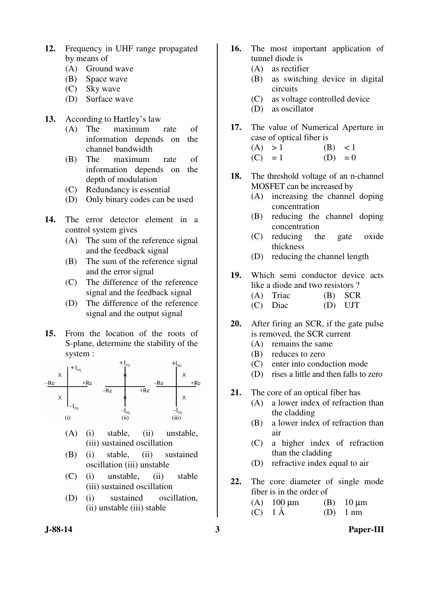- **12.** Frequency in UHF range propagated by means of
	- (A) Ground wave
	- (B) Space wave
	- (C) Sky wave
	- (D) Surface wave
- **13.** According to Hartley's law
	- (A) The maximum rate of information depends on the channel bandwidth
	- (B) The maximum rate of information depends on the depth of modulation
	- (C) Redundancy is essential
	- (D) Only binary codes can be used
- **14.** The error detector element in a control system gives
	- (A) The sum of the reference signal and the feedback signal
	- (B) The sum of the reference signal and the error signal
	- (C) The difference of the reference signal and the feedback signal
	- (D) The difference of the reference signal and the output signal
- **15.** From the location of the roots of S-plane, determine the stability of the system :



- (A) (i) stable, (ii) unstable, (iii) sustained oscillation
- (B) (i) stable, (ii) sustained oscillation (iii) unstable
- (C) (i) unstable, (ii) stable (iii) sustained oscillation
- (D) (i) sustained oscillation, (ii) unstable (iii) stable
- 
- **16.** The most important application of tunnel diode is
	- (A) as rectifier
	- (B) as switching device in digital circuits
	- (C) as voltage controlled device
	- (D) as oscillator
- **17.** The value of Numerical Aperture in case of optical fiber is
	- $(A) > 1$  (B) < 1  $(C) = 1$   $(D) = 0$
- **18.** The threshold voltage of an n-channel MOSFET can be increased by
	- (A) increasing the channel doping concentration
	- (B) reducing the channel doping concentration
	- (C) reducing the gate oxide thickness
	- (D) reducing the channel length
- **19.** Which semi conductor device acts like a diode and two resistors ?
	- (A) Triac (B) SCR
	- (C) Diac (D) UJT
- **20.** After firing an SCR, if the gate pulse is removed, the SCR current
	- (A) remains the same
	- (B) reduces to zero
	- (C) enter into conduction mode
	- (D) rises a little and then falls to zero
- **21.** The core of an optical fiber has
	- (A) a lower index of refraction than the cladding
	- (B) a lower index of refraction than air
	- (C) a higher index of refraction than the cladding
	- (D) refractive index equal to air
- **22.** The core diameter of single mode fiber is in the order of

| (A) $100 \mu m$ | (B) $10 \mu m$ |
|-----------------|----------------|
| $(C)$ 1 Å       | $(D)$ 1 nm     |

**J-88-14 3 Paper-III**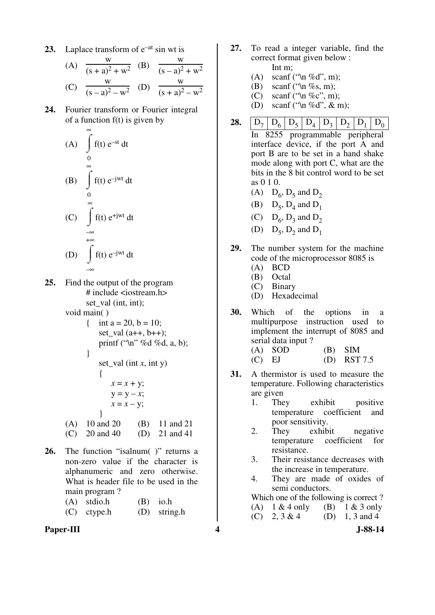**23.** Laplace transform of  $e^{-at}$  sin wt is

(A) 
$$
\frac{w}{(s+a)^2 + w^2}
$$
 (B)  $\frac{w}{(s-a)^2 + w^2}$   
(C)  $\frac{w}{(s-a)^2 - w^2}$  (D)  $\frac{w}{(s+a)^2 - w^2}$ 

**24.** Fourier transform or Fourier integral of a function  $f(t)$  is given by

(A) 
$$
\int_{0}^{\infty} f(t) e^{-st} dt
$$
  
\n(B)  $\int_{0}^{\infty} f(t) e^{-jwt} dt$   
\n(C)  $\int_{-\infty}^{\infty} f(t) e^{+jwt} dt$   
\n(D)  $\int_{-\infty}^{\infty} f(t) e^{-jwt} dt$ 

**25.** Find the output of the program # include <iostream.h> set val (int, int);

void main( )

- { int a = 20, b = 10; set val  $(a++, b++)$ ; printf ("\n" %d %d, a, b); }
- set\_val (int *x*, int y)  $\{$  $x = x + y;$  $y = y - x;$  $x = x - y$ ; } (A) 10 and 20 (B) 11 and 21
	- (C) 20 and 40 (D) 21 and 41
- 26. The function "isalnum( )" returns a non-zero value if the character is alphanumeric and zero otherwise. What is header file to be used in the main program?

| $(A)$ stdio.h | $(B)$ io.h     |
|---------------|----------------|
| $(C)$ ctype.h | $(D)$ string.h |

**Paper-III 4 J-88-14**

- **27.** To read a integer variable, find the correct format given below : Int m;
	- (A) scanf (" $\ln \%$ d", m);
	- (B) scanf (" $\ln \%$ s, m);
	- (C) scanf ("\n %c", m);
	- (D) scanf ("\n %d",  $\&$  m);
- **28.**  $\begin{bmatrix} D_7 \end{bmatrix} D_6 \begin{bmatrix} D_5 \end{bmatrix} D_4 \begin{bmatrix} D_3 \end{bmatrix} D_2 \begin{bmatrix} D_1 \end{bmatrix} D_0$  In 8255 programmable peripheral interface device, if the port A and port B are to be set in a hand shake mode along with port C, what are the bits in the 8 bit control word to be set as 0 1 0.
- (A)  $D_6$ ,  $D_5$  and  $D_2$
- (B)  $D_5$ ,  $D_4$  and  $D_1$
- (C)  $D_6$ ,  $D_3$  and  $D_2$
- (D)  $D_5$ ,  $D_2$  and  $D_1$
- **29.** The number system for the machine code of the microprocessor 8085 is
	- (A) BCD
	- (B) Octal
	- (C) Binary
	- (D) Hexadecimal
- **30.** Which of the options in a multipurpose instruction used to implement the interrupt of 8085 and serial data input ?
	- $(A)$  SOD  $(B)$  SIM (C) EJ (D) RST 7.5
- **31.** A thermistor is used to measure the temperature. Following characteristics are given
	- 1. They exhibit positive temperature coefficient and poor sensitivity.
	- 2. They exhibit negative temperature coefficient for resistance.
	- 3. Their resistance decreases with the increase in temperature.
	- 4. They are made of oxides of semi conductors.

 Which one of the following is correct ? (A)  $1 \& 4$  only (B)  $1 \& 3$  only<br>(C)  $2, 3 \& 4$  (D)  $1, 3$  and 4 (D) 1, 3 and 4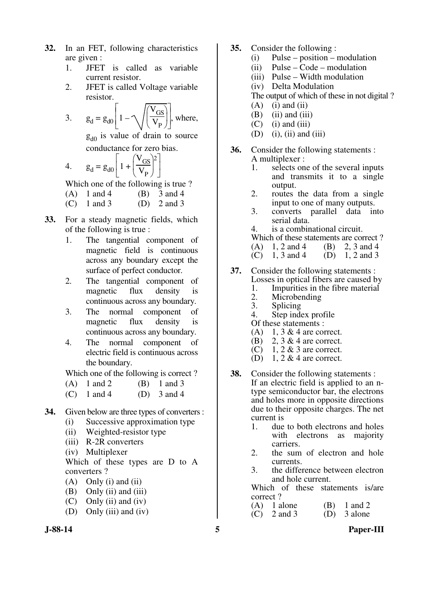- **32.** In an FET, following characteristics are given :
	- 1. JFET is called as variable current resistor.
	- 2. JFET is called Voltage variable resistor.

3. 
$$
g_d = g_{d0} \left[ 1 - \sqrt{\left( \frac{V_{GS}}{V_P} \right)} \right]
$$
, where,

 $g_{d0}$  is value of drain to source conductance for zero bias.

> $\overline{\phantom{a}}$   $\lceil$

4. 
$$
g_d = g_{d0} \left[ 1 + \left( \frac{V_{GS}}{V_P} \right)^2 \right]
$$

Which one of the following is true ?

- (A)  $1$  and  $4$  (B)  $3$  and  $4$
- (C)  $1$  and  $3$  (D)  $2$  and  $3$
- **33.** For a steady magnetic fields, which of the following is true :
	- 1. The tangential component of magnetic field is continuous across any boundary except the surface of perfect conductor.
	- 2. The tangential component of magnetic flux density is continuous across any boundary.
	- 3. The normal component of magnetic flux density is continuous across any boundary.
	- 4. The normal component of electric field is continuous across the boundary.

Which one of the following is correct ?

- (A)  $1$  and  $2$  (B)  $1$  and  $3$
- (C) 1 and 4 (D) 3 and 4
- **34.** Given below are three types of converters :
	- (i) Successive approximation type
	- (ii) Weighted-resistor type
	- (iii) R-2R converters
	- (iv) Multiplexer

 Which of these types are D to A converters ?

- $(A)$  Only (i) and (ii)
- (B) Only (ii) and (iii)
- (C) Only (ii) and (iv)
- (D) Only (iii) and (iv)
- 
- **35.** Consider the following :
	- (i) Pulse position modulation
	- (ii) Pulse Code modulation
	- (iii) Pulse Width modulation
	- (iv) Delta Modulation

The output of which of these in not digital ?

- $(A)$  (i) and (ii)
- $(B)$  (ii) and (iii)
- $(C)$  (i) and (iii)
- $(D)$  (i), (ii) and (iii)
- **36.** Consider the following statements :
	- A multiplexer :<br>1. selects on selects one of the several inputs and transmits it to a single output.
	- 2. routes the data from a single input to one of many outputs.
	- 3. converts parallel data into serial data.

4. is a combinational circuit.

Which of these statements are correct?<br>(A)  $1, 2$  and  $4$  (B)  $2, 3$  and  $4$ 

- (B) 2, 3 and 4<br>(D) 1, 2 and 3
- $(C)$  1, 3 and 4
- **37.** Consider the following statements : Losses in optical fibers are caused by
	- 1. Impurities in the fibre material
	- 2. Microbending<br>3. Splicing
	-
	- 3. Splicing<br>4. Step inde Step index profile
	- Of these statements :
	- $(A)$  1, 3 & 4 are correct.
	- (B) 2, 3 & 4 are correct.
	- (C) 1, 2  $\&$  3 are correct.
	- (D) 1, 2  $&$  4 are correct.
- **38.** Consider the following statements : If an electric field is applied to an ntype semiconductor bar, the electrons and holes more in opposite directions due to their opposite charges. The net current is
	- 1. due to both electrons and holes with electrons as majority carriers.
	- 2. the sum of electron and hole currents.
	- 3. the difference between electron and hole current.

 Which of these statements is/are correct ?

| $(A)$ 1 alone | $(B)$ 1 and 2 |
|---------------|---------------|
| $(C)$ 2 and 3 | $(D)$ 3 alone |

**J-88-14 5 Paper-III**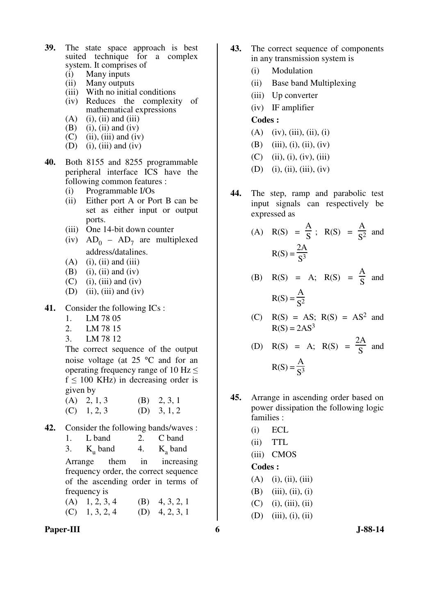- **39.** The state space approach is best suited technique for a complex system. It comprises of
	- (i) Many inputs
	- (ii) Many outputs
	- (iii) With no initial conditions (iv) Reduces the complexity of mathematical expressions
	- $(A)$  (i), (ii) and (iii)
	- $(B)$  (i), (ii) and (iv)
	- $(C)$  (ii), (iii) and (iv)
	- (D) (i), (iii) and (iv)
- **40.** Both 8155 and 8255 programmable peripheral interface ICS have the following common features :
	- (i) Programmable I/Os
	- (ii) Either port A or Port B can be set as either input or output ports.
	- (iii) One 14-bit down counter
- (iv)  $AD_0 AD_7$  are multiplexed address/datalines.
	- $(A)$  (i), (ii) and (iii)
	- $(B)$  (i), (ii) and (iv)
	- $(C)$  (i), (iii) and (iv)
	- $(D)$  (ii), (iii) and (iv)
- **41.** Consider the following ICs :
	- 1. LM 78 05
	- 2. LM 78 15
	- 3. LM 78 12

 The correct sequence of the output noise voltage (at 25 °C and for an operating frequency range of 10 Hz  $\leq$  $f \le 100$  KHz) in decreasing order is given by

(A) 2, 1, 3 (B) 2, 3, 1  $(C)$  1, 2, 3  $(D)$  3, 1, 2

- **42.** Consider the following bands/waves :
	- 1. L band 2. C band
- 3.  $K_u$  band 4.  $K_a$  $K_a$  band

 Arrange them in increasing frequency order, the correct sequence of the ascending order in terms of frequency is

| $(A)$ 1, 2, 3, 4 | (B) $4, 3, 2, 1$ |
|------------------|------------------|
| $(C)$ 1, 3, 2, 4 | (D) $4, 2, 3, 1$ |

Paper-III 6 J-88-14

- **43.** The correct sequence of components in any transmission system is
	- (i) Modulation
	- (ii) Base band Multiplexing
	- (iii) Up converter
	- (iv) IF amplifier

#### **Codes :**

- $(A)$  (iv), (iii), (ii), (i)
- (B) (iii), (i), (ii), (iv)
- $(C)$  (ii), (i), (iv), (iii)
- (D) (i), (ii), (iii), (iv)
- **44.** The step, ramp and parabolic test input signals can respectively be expressed as
- $(A)$   $R(S) =$ A  $\frac{1}{S}$ ; R(S) = A  $\frac{1}{\mathrm{S}^2}$  and  $R(S) =$  $2A$  $S^3$

(B) 
$$
R(S) = A
$$
;  $R(S) = \frac{A}{S}$  and  
 $R(S) = \frac{A}{S^2}$ 

(C) 
$$
R(S) = AS
$$
;  $R(S) = AS2$  and  
 $R(S) = 2AS3$ 

(D) R(S) = A; R(S) = 
$$
\frac{2A}{S}
$$
 and  
R(S) =  $\frac{A}{S^3}$ 

- **45.** Arrange in ascending order based on power dissipation the following logic families :
	- (i) ECL
	- (ii) TTL
	- (iii) CMOS

### **Codes :**

- $(A)$  (i), (ii), (iii)
- $(B)$  (iii), (ii), (i)
- $(C)$  (i), (iii), (ii)
- (D) (iii), (i), (ii)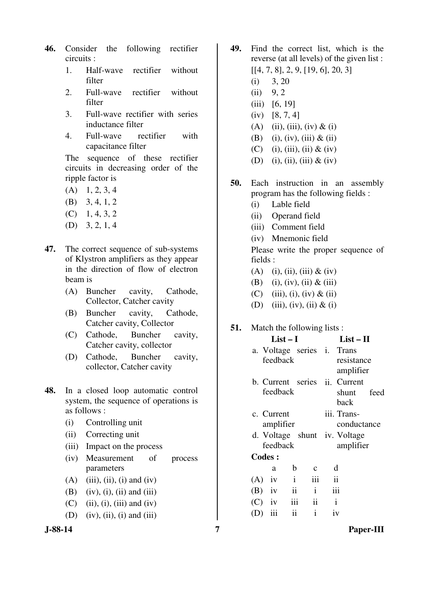- **46.** Consider the following rectifier circuits :
	- 1. Half-wave rectifier without filter
	- 2. Full-wave rectifier without filter
	- 3. Full-wave rectifier with series inductance filter
	- 4. Full-wave rectifier with capacitance filter

 The sequence of these rectifier circuits in decreasing order of the ripple factor is

- $(A)$  1, 2, 3, 4
- (B) 3, 4, 1, 2
- $(C)$  1, 4, 3, 2
- (D) 3, 2, 1, 4
- **47.** The correct sequence of sub-systems of Klystron amplifiers as they appear in the direction of flow of electron beam is
	- (A) Buncher cavity, Cathode, Collector, Catcher cavity
	- (B) Buncher cavity, Cathode, Catcher cavity, Collector
	- (C) Cathode, Buncher cavity, Catcher cavity, collector
	- (D) Cathode, Buncher cavity, collector, Catcher cavity
- **48.** In a closed loop automatic control system, the sequence of operations is as follows :
	- (i) Controlling unit
	- (ii) Correcting unit
	- (iii) Impact on the process
	- (iv) Measurement of process parameters
	- $(A)$  (iii), (ii), (i) and (iv)
	- (B) (iv), (i), (ii) and (iii)
	- $(C)$  (ii), (i), (iii) and (iv)
	- $(D)$  (iv), (ii), (i) and (iii)



- **49.** Find the correct list, which is the reverse (at all levels) of the given list : [[4, 7, 8], 2, 9, [19, 6], 20, 3]
	- $(i)$  3, 20
	- $(ii)$  9, 2
	- (iii) [6, 19]
	- (iv) [8, 7, 4]
	- (A) (ii), (iii), (iv)  $&$  (i)
	- (B) (i), (iv), (iii)  $& 4$  (ii)
	- (C) (i), (iii), (ii)  $&$  (iv)
	- (D) (i), (ii), (iii)  $&$  (iv)
- **50.** Each instruction in an assembly program has the following fields :
	- (i) Lable field
	- (ii) Operand field
	- (iii) Comment field
	- (iv) Mnemonic field

 Please write the proper sequence of fields :

**List – I List – II** 

- (A) (i), (ii), (iii)  $&$  (iv)
- (B) (i), (iv), (ii)  $&$  (iii)
- (C) (iii), (i), (iv)  $&$  (ii)
- (D) (iii), (iv), (ii)  $&$  (i)

#### **51.** Match the following lists :

|               | $LISL = I$                             |                         |                     |                          | LISU — 11                                                   |  |  |  |
|---------------|----------------------------------------|-------------------------|---------------------|--------------------------|-------------------------------------------------------------|--|--|--|
|               | a. Voltage series i. Trans<br>feedback |                         |                     |                          | resistance<br>amplifier                                     |  |  |  |
|               | feedback                               |                         |                     |                          | b. Current series <i>ii</i> . Current<br>shunt feed<br>back |  |  |  |
|               | c. Current<br>amplifier                |                         |                     |                          | iii. Trans-<br>conductance                                  |  |  |  |
|               | feedback                               |                         |                     |                          | d. Voltage shunt iv. Voltage<br>amplifier                   |  |  |  |
| <b>Codes:</b> |                                        |                         |                     |                          |                                                             |  |  |  |
|               | a                                      | $\mathbf b$             | $\mathbf{C}$        |                          | d                                                           |  |  |  |
| $(A)$ iv      |                                        | $\mathbf{i}$            | iii                 | $\overline{\mathbf{ii}}$ |                                                             |  |  |  |
| $(B)$ iv      |                                        | $\overline{\mathbf{i}}$ | $\,$ i              |                          | iii                                                         |  |  |  |
|               | $(C)$ iv                               | iii                     | $\ddot{\mathbf{i}}$ | $\mathbf{i}$             |                                                             |  |  |  |
| (D)           | iii                                    | ii                      | $\mathbf{i}$        |                          | iv                                                          |  |  |  |

**J-88-14 7 Paper-III**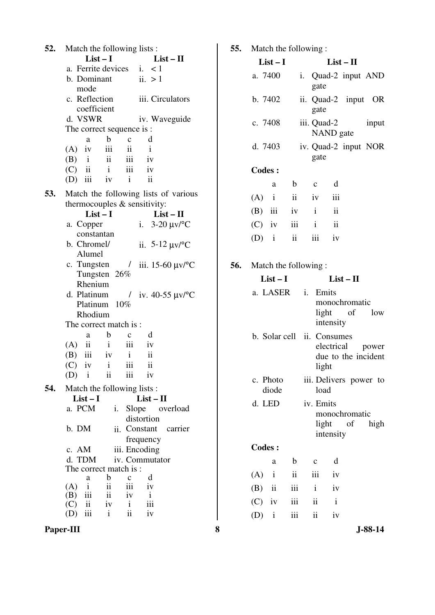**52.** Match the following lists : **List – I List – II**  a. Ferrite devices i. < 1 b. Dominant mode ii.  $>1$ c. Reflection coefficient iii. Circulators d. VSWR iv. Waveguide The correct sequence is : a b c d  $(A)$  iv iii ii i  $(B)$  i ii iii iv  $(C)$  ii ii iii iv (D) iii iv i ii **53.** Match the following lists of various thermocouples & sensitivity: **List – I List – II**  a. Copper constantan i. 3-20 µv/°C b. Chromel/ Alumel ii. 5-12 µv/°C c. Tungsten / Tungsten 26% Rhenium iii. 15-60 µv/°C d. Platinum Platinum 10% Rhodium  $\frac{1}{\nu}$  iv. 40-55  $\mu v$ <sup>o</sup>C The correct match is : a b c d  $(A)$  ii ii iii iv (B) iii iv i ii  $(C)$  iv i iii ii (D) i ii iii iv **54.** Match the following lists : **List – I List – II**  a. PCM i. Slope overload distortion b. DM ii. Constant carrier frequency c. AM iii. Encoding d. TDM iv. Commutator The correct match is :<br> $\frac{a}{b}$   $\frac{b}{c}$  a b c d  $(A)$  i ii iii iv  $(B)$  iii ii iv i  $\begin{array}{ccc} (B) & \text{iii} & \text{ii} & \text{iv} & \text{i} \\ (C) & \text{ii} & \text{iv} & \text{i} & \text{iii} \end{array}$  $(C)$  ii iv (D) iii i ii iv

**55.** Match the following : **List – I List – II**  a. 7400 i. Quad-2 input AND gate b. 7402 ii. Quad-2 input OR gate c. 7408 iii. Quad-2 input NAND gate d. 7403 iv. Quad-2 input NOR gate **Codes :**  a b c d  $(A)$  i ii iv iii (B) iii iv i ii  $(C)$  iv iii i ii  $(D)$  i ii iii iv **56.** Match the following : **List – I List – II**  a. LASER i. Emits monochromatic light of low intensity b. Solar cell ii. Consumes electrical power due to the incident light c. Photo diode iii. Delivers power to load d. LED iv. Emits monochromatic light of high intensity **Codes :**  a b c d  $(A)$  i ii iii iv (B) ii iii i iv  $(C)$  iv iii ii i  $(D)$  i iii ii iv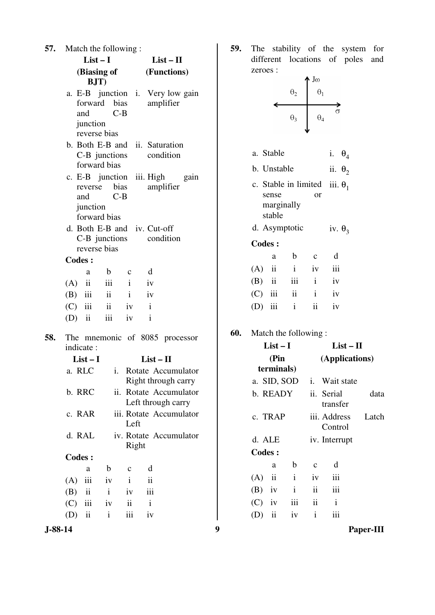|     | <b>57.</b> Match the following:            |                                                 |              |                |                                                           |  |  |  |
|-----|--------------------------------------------|-------------------------------------------------|--------------|----------------|-----------------------------------------------------------|--|--|--|
|     | $List-I$<br>(Biasing of Functions)<br>BJT) |                                                 |              |                | $List - II$                                               |  |  |  |
|     |                                            |                                                 |              |                |                                                           |  |  |  |
|     |                                            | forward bias<br>and<br>junction<br>reverse bias | $C-B$        |                | a. E-B junction i. Very low gain<br>amplifier             |  |  |  |
|     |                                            | forward bias                                    |              |                | b. Both E-B and ii. Saturation<br>C-B junctions condition |  |  |  |
|     |                                            | reverse bias<br>and<br>junction<br>forward bias | $C-B$        |                | c. E-B junction iii. High gain<br>amplifier               |  |  |  |
|     |                                            | reverse bias                                    |              |                | d. Both E-B and iv. Cut-off<br>C-B junctions condition    |  |  |  |
|     | <b>Codes:</b>                              |                                                 |              |                |                                                           |  |  |  |
|     |                                            | a                                               | b            | $\mathbf{c}$   | d                                                         |  |  |  |
|     |                                            | $(A)$ ii iii i                                  |              | iv             |                                                           |  |  |  |
|     |                                            | $(B)$ iii ii iv                                 |              |                |                                                           |  |  |  |
|     |                                            | $(C)$ iii ii iv                                 |              |                | $\mathbf{i}$                                              |  |  |  |
|     |                                            | (D) ii iii iv                                   |              |                | $\mathbf{i}$                                              |  |  |  |
| 58. | indicate:                                  |                                                 |              |                | The mnemonic of 8085 processor                            |  |  |  |
|     |                                            | $List-I$                                        |              |                | $List - II$                                               |  |  |  |
|     |                                            |                                                 |              |                | a. RLC i. Rotate Accumulator<br>Right through carry       |  |  |  |
|     | b. RRC                                     |                                                 | ii.          |                | Rotate Accumulator<br>Left through carry                  |  |  |  |
|     | c. RAR                                     |                                                 |              | Left           | iii. Rotate Accumulator                                   |  |  |  |
|     | d. RAL<br>iv. Rotate Accumulator<br>Right  |                                                 |              |                |                                                           |  |  |  |
|     | <b>Codes:</b>                              |                                                 |              |                |                                                           |  |  |  |
|     |                                            | a                                               | $\mathbf b$  | $\mathbf c$    | d                                                         |  |  |  |
|     | (A)                                        | iii                                             | iv           | $\mathbf{i}$   | ii                                                        |  |  |  |
|     | (B)                                        | ii                                              | $\mathbf{i}$ | iv             | iii                                                       |  |  |  |
|     | $(C)$ iii                                  |                                                 | iv           | $\ddot{\rm n}$ | $\mathbf{i}$                                              |  |  |  |
|     | $(D)$ ii                                   |                                                 | i            | iii            | iv                                                        |  |  |  |

**59.** The stability of the system for different locations of poles and zeroes :



 (A) ii i iv iii (B) iv i ii iii  $(C)$  iv iii ii i (D) ii iv i iii

**J-88-14 9 Paper-III**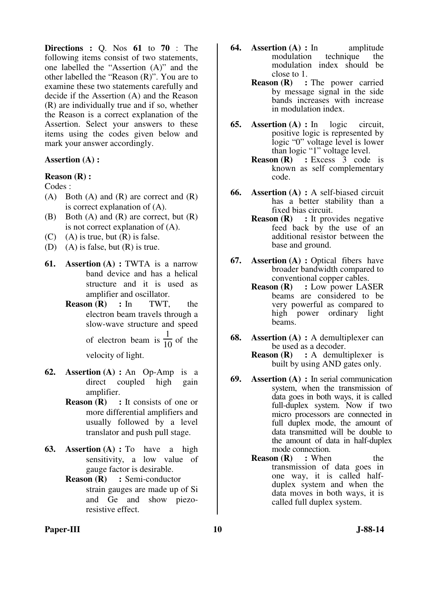**Directions :** Q. Nos **61** to **70** : The following items consist of two statements, one labelled the "Assertion (A)" and the other labelled the "Reason (R)". You are to examine these two statements carefully and decide if the Assertion (A) and the Reason (R) are individually true and if so, whether the Reason is a correct explanation of the Assertion. Select your answers to these items using the codes given below and mark your answer accordingly.

#### **Assertion (A) :**

# **Reason (R) :**

- Codes :
- $(A)$  Both  $(A)$  and  $(R)$  are correct and  $(R)$ is correct explanation of (A).
- $(B)$  Both  $(A)$  and  $(R)$  are correct, but  $(R)$ is not correct explanation of (A).
- $(C)$  (A) is true, but  $(R)$  is false.
- (D) (A) is false, but (R) is true.
- **61. Assertion (A) : TWTA** is a narrow band device and has a helical structure and it is used as amplifier and oscillator.
	- **Reason (R) :** In TWT, the electron beam travels through a slow-wave structure and speed of electron beam is 1  $\frac{1}{10}$  of the

velocity of light.

- **62. Assertion (A) :** An Op-Amp is a direct coupled high gain amplifier.
	- **Reason (R)** : It consists of one or more differential amplifiers and usually followed by a level translator and push pull stage.
- **63. Assertion (A) :** To have a high sensitivity, a low value of gauge factor is desirable.
	- **Reason (R) :** Semi-conductor strain gauges are made up of Si and Ge and show piezoresistive effect.
- **64. Assertion (A) :** In amplitude modulation technique the technique the modulation index should be
	- close to 1.<br>Reason  $(R)$ : **Reads** : The power carried by message signal in the side bands increases with increase in modulation index.
- **65. Assertion (A) :** In logic circuit, positive logic is represented by logic "0" voltage level is lower than logic "1" voltage level.
	- **Reason (R)** : Excess 3 code is known as self complementary code.
- **66. Assertion (A) :** A self-biased circuit has a better stability than a fixed bias circuit.
	- **Reason (R)** : It provides negative feed back by the use of an additional resistor between the base and ground.
- **67. Assertion (A) :** Optical fibers have broader bandwidth compared to conventional copper cables.
	- **Reason (R) :** Low power LASER beams are considered to be very powerful as compared to high power ordinary light beams.
- **68. Assertion (A) :** A demultiplexer can be used as a decoder.
	- **Reason (R) :** A demultiplexer is built by using AND gates only.
- **69. Assertion (A) :** In serial communication system, when the transmission of data goes in both ways, it is called full-duplex system. Now if two micro processors are connected in full duplex mode, the amount of data transmitted will be double to the amount of data in half-duplex mode connection.
	- **Reason (R)** : When the transmission of data goes in one way, it is called halfduplex system and when the data moves in both ways, it is called full duplex system.

#### Paper-III **10** J-88-14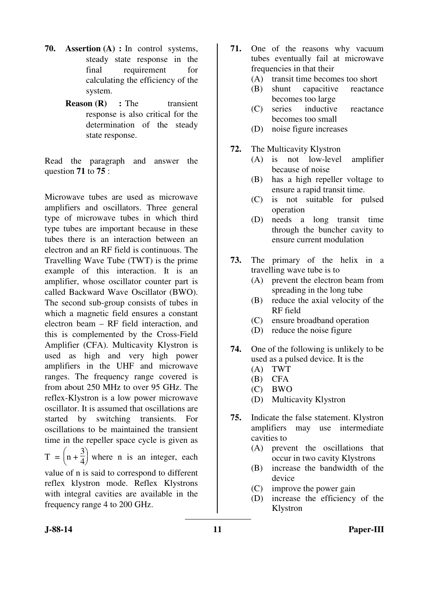- **70. Assertion (A) :** In control systems, steady state response in the final requirement for calculating the efficiency of the system.
	- **Reason (R)** : The transient response is also critical for the determination of the steady state response.

Read the paragraph and answer the question **71** to **75** :

Microwave tubes are used as microwave amplifiers and oscillators. Three general type of microwave tubes in which third type tubes are important because in these tubes there is an interaction between an electron and an RF field is continuous. The Travelling Wave Tube (TWT) is the prime example of this interaction. It is an amplifier, whose oscillator counter part is called Backward Wave Oscillator (BWO). The second sub-group consists of tubes in which a magnetic field ensures a constant electron beam – RF field interaction, and this is complemented by the Cross-Field Amplifier (CFA). Multicavity Klystron is used as high and very high power amplifiers in the UHF and microwave ranges. The frequency range covered is from about 250 MHz to over 95 GHz. The reflex-Klystron is a low power microwave oscillator. It is assumed that oscillations are started by switching transients. For oscillations to be maintained the transient time in the repeller space cycle is given as  $T = \left(\right.$  $\left.\rule{0pt}{10pt}\right)$  $n +$ 3  $\frac{2}{4}$  where n is an integer, each value of n is said to correspond to different reflex klystron mode. Reflex Klystrons with integral cavities are available in the

- **71.** One of the reasons why vacuum tubes eventually fail at microwave frequencies in that their
	- (A) transit time becomes too short
	- (B) shunt capacitive reactance becomes too large
	- (C) series inductive reactance becomes too small
	- (D) noise figure increases
- **72.** The Multicavity Klystron
	- (A) is not low-level amplifier because of noise
	- (B) has a high repeller voltage to ensure a rapid transit time.
	- (C) is not suitable for pulsed operation
	- (D) needs a long transit time through the buncher cavity to ensure current modulation
- **73.** The primary of the helix in a travelling wave tube is to
	- (A) prevent the electron beam from spreading in the long tube
	- (B) reduce the axial velocity of the RF field
	- (C) ensure broadband operation
	- (D) reduce the noise figure
- **74.** One of the following is unlikely to be used as a pulsed device. It is the
	- (A) TWT
	- (B) CFA
	- (C) BWO
	- (D) Multicavity Klystron
- **75.** Indicate the false statement. Klystron amplifiers may use intermediate cavities to
	- (A) prevent the oscillations that occur in two cavity Klystrons
	- (B) increase the bandwidth of the device
	- (C) improve the power gain
	- (D) increase the efficiency of the Klystron

frequency range 4 to 200 GHz.